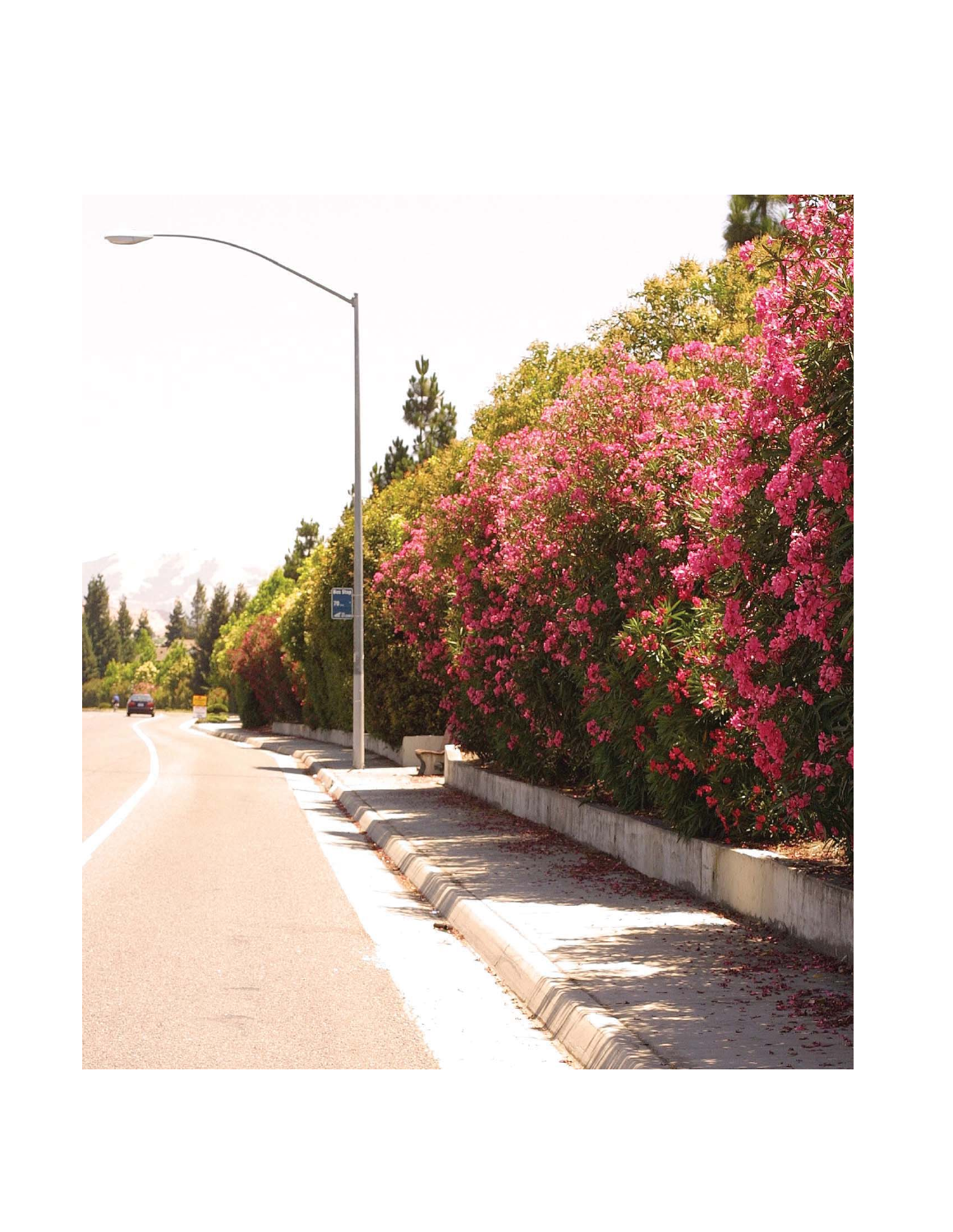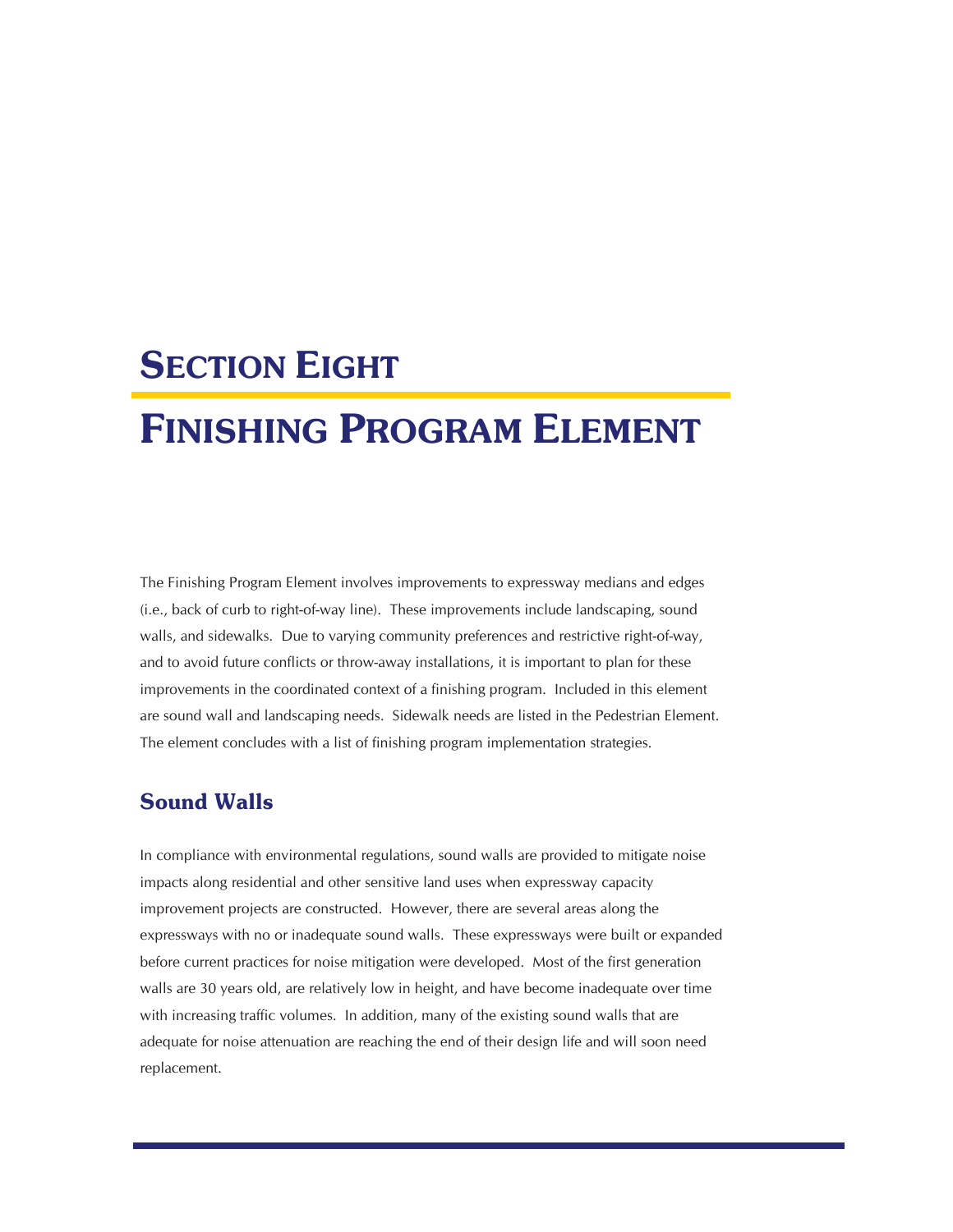## **SECTION EIGHT**

# FINISHING PROGRAM ELEMENT

The Finishing Program Element involves improvements to expressway medians and edges (i.e., back of curb to right-of-way line). These improvements include landscaping, sound walls, and sidewalks. Due to varying community preferences and restrictive right-of-way, and to avoid future conflicts or throw-away installations, it is important to plan for these improvements in the coordinated context of a finishing program. Included in this element are sound wall and landscaping needs. Sidewalk needs are listed in the Pedestrian Element. The element concludes with a list of finishing program implementation strategies.

## Sound Walls

In compliance with environmental regulations, sound walls are provided to mitigate noise impacts along residential and other sensitive land uses when expressway capacity improvement projects are constructed. However, there are several areas along the expressways with no or inadequate sound walls. These expressways were built or expanded before current practices for noise mitigation were developed. Most of the first generation walls are 30 years old, are relatively low in height, and have become inadequate over time with increasing traffic volumes. In addition, many of the existing sound walls that are adequate for noise attenuation are reaching the end of their design life and will soon need replacement.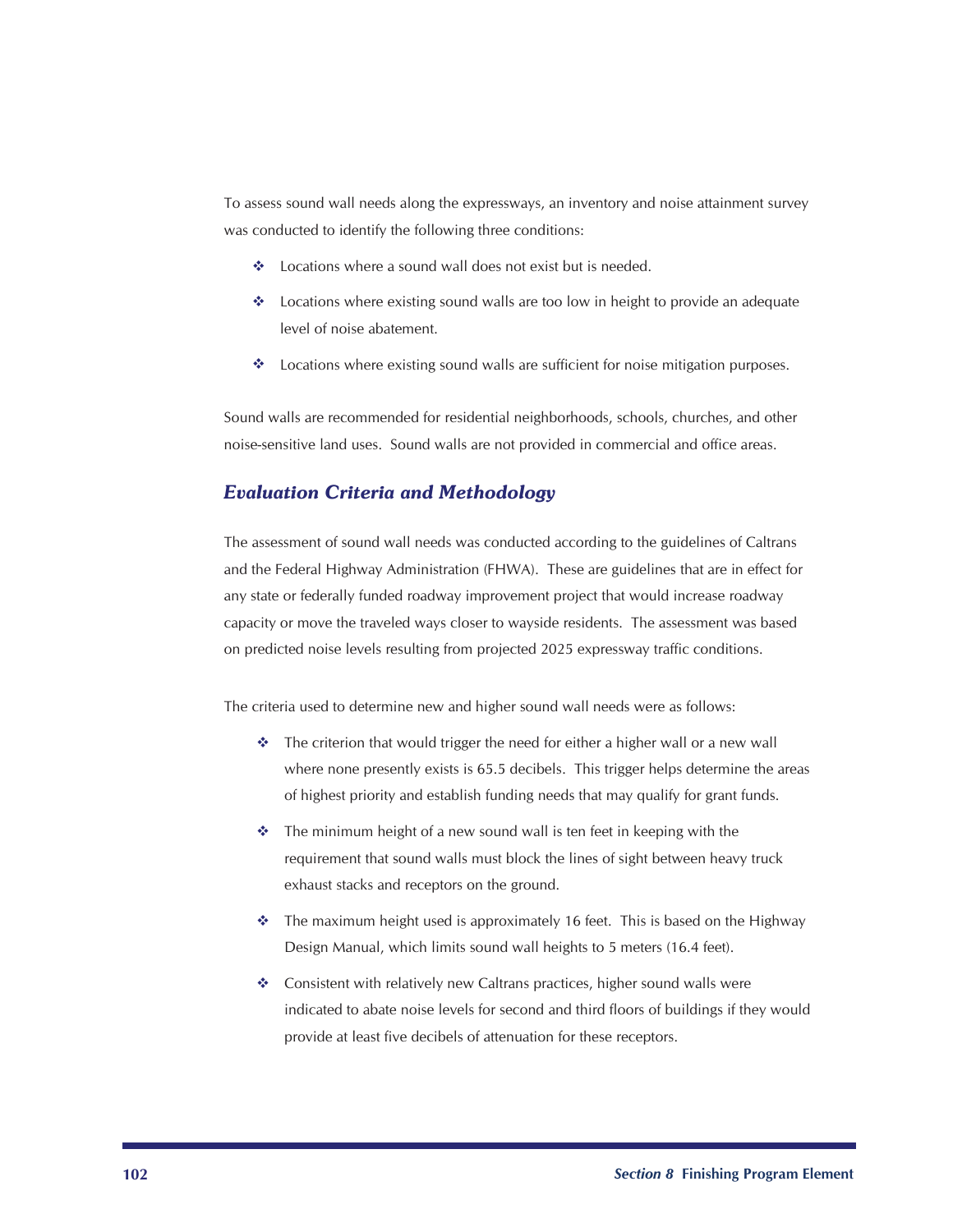To assess sound wall needs along the expressways, an inventory and noise attainment survey was conducted to identify the following three conditions:

- $\mathcal{L}_{\mathcal{F}}$ Locations where a sound wall does not exist but is needed.
- ٠ Locations where existing sound walls are too low in height to provide an adequate level of noise abatement.
- A. Locations where existing sound walls are sufficient for noise mitigation purposes.

Sound walls are recommended for residential neighborhoods, schools, churches, and other noise-sensitive land uses. Sound walls are not provided in commercial and office areas.

#### *Evaluation Criteria and Methodology*

The assessment of sound wall needs was conducted according to the guidelines of Caltrans and the Federal Highway Administration (FHWA). These are guidelines that are in effect for any state or federally funded roadway improvement project that would increase roadway capacity or move the traveled ways closer to wayside residents. The assessment was based on predicted noise levels resulting from projected 2025 expressway traffic conditions.

The criteria used to determine new and higher sound wall needs were as follows:

- $\cdot \cdot$  The criterion that would trigger the need for either a higher wall or a new wall where none presently exists is 65.5 decibels. This trigger helps determine the areas of highest priority and establish funding needs that may qualify for grant funds.
- $\cdot \cdot$  The minimum height of a new sound wall is ten feet in keeping with the requirement that sound walls must block the lines of sight between heavy truck exhaust stacks and receptors on the ground.
- $\bullet$  The maximum height used is approximately 16 feet. This is based on the Highway Design Manual, which limits sound wall heights to 5 meters (16.4 feet).
- ❖ Consistent with relatively new Caltrans practices, higher sound walls were indicated to abate noise levels for second and third floors of buildings if they would provide at least five decibels of attenuation for these receptors.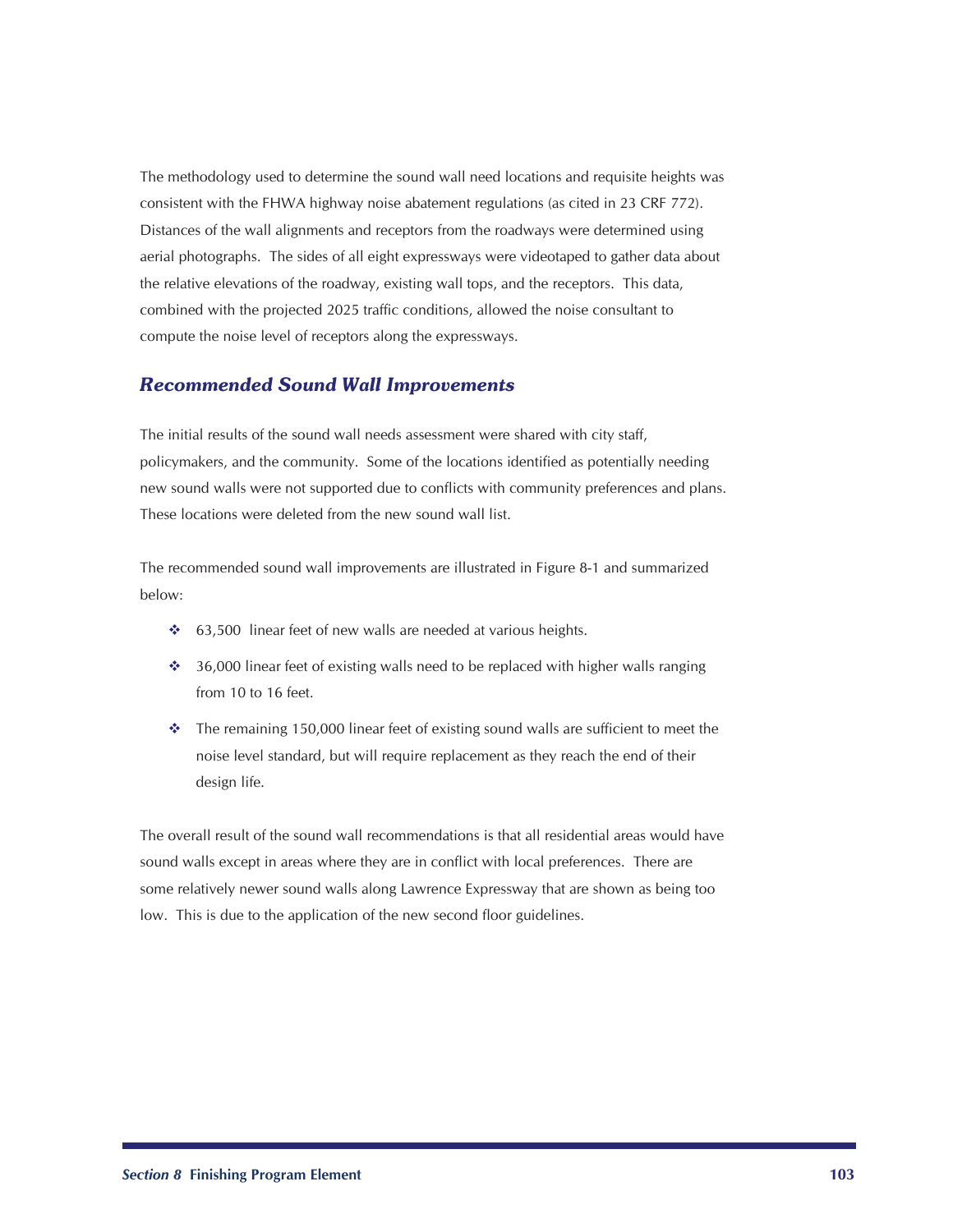The methodology used to determine the sound wall need locations and requisite heights was consistent with the FHWA highway noise abatement regulations (as cited in 23 CRF 772). Distances of the wall alignments and receptors from the roadways were determined using aerial photographs. The sides of all eight expressways were videotaped to gather data about the relative elevations of the roadway, existing wall tops, and the receptors. This data, combined with the projected 2025 traffic conditions, allowed the noise consultant to compute the noise level of receptors along the expressways.

#### *Recommended Sound Wall Improvements*

The initial results of the sound wall needs assessment were shared with city staff, policymakers, and the community. Some of the locations identified as potentially needing new sound walls were not supported due to conflicts with community preferences and plans. These locations were deleted from the new sound wall list.

The recommended sound wall improvements are illustrated in Figure 8-1 and summarized below:

- ◆ 63,500 linear feet of new walls are needed at various heights.
- $\cdot$  36,000 linear feet of existing walls need to be replaced with higher walls ranging from 10 to 16 feet.
- $\cdot \cdot$  The remaining 150,000 linear feet of existing sound walls are sufficient to meet the noise level standard, but will require replacement as they reach the end of their design life.

The overall result of the sound wall recommendations is that all residential areas would have sound walls except in areas where they are in conflict with local preferences. There are some relatively newer sound walls along Lawrence Expressway that are shown as being too low. This is due to the application of the new second floor guidelines.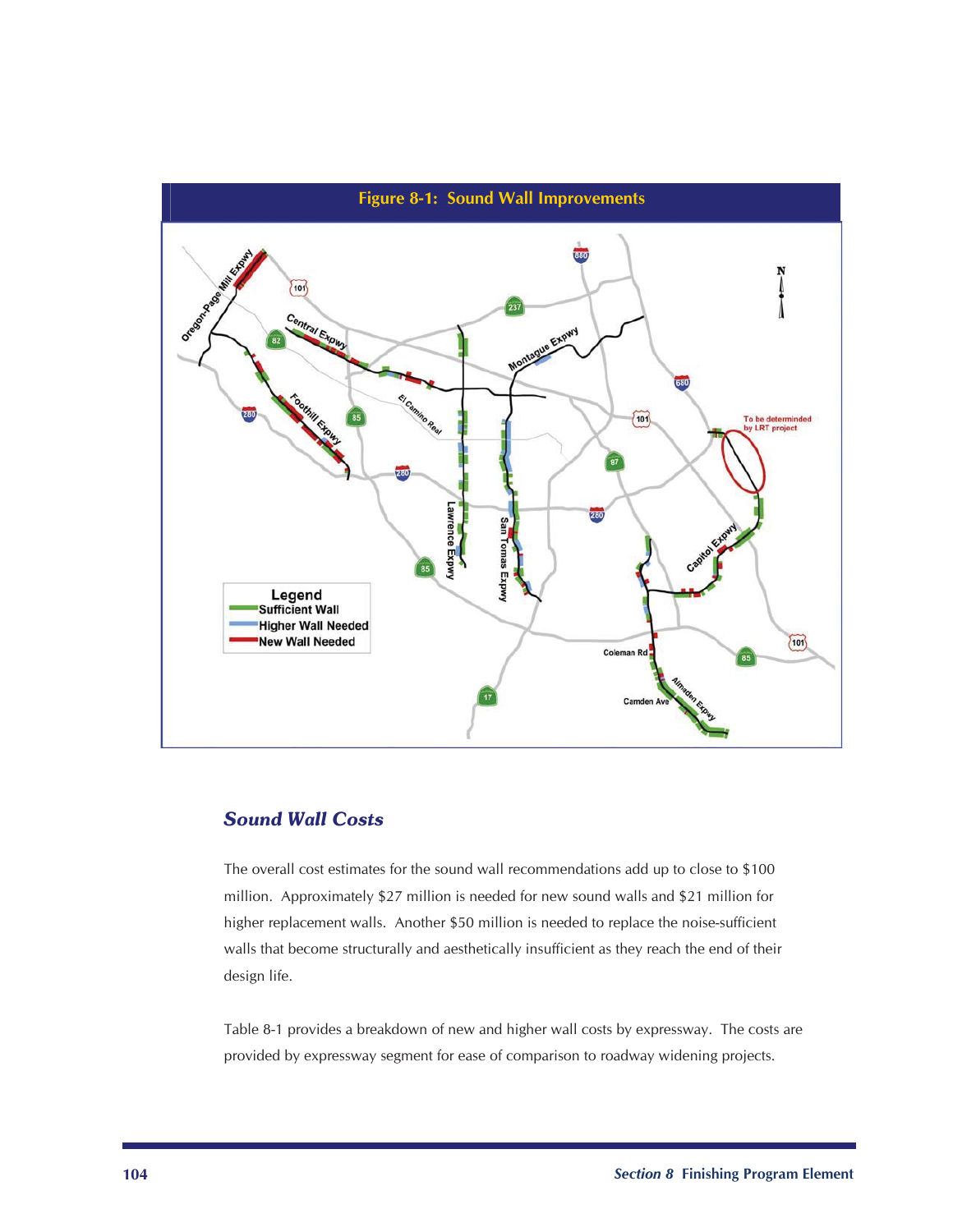

#### *Sound Wall Costs*

The overall cost estimates for the sound wall recommendations add up to close to \$100 million. Approximately \$27 million is needed for new sound walls and \$21 million for higher replacement walls. Another \$50 million is needed to replace the noise-sufficient walls that become structurally and aesthetically insufficient as they reach the end of their design life.

Table 8-1 provides a breakdown of new and higher wall costs by expressway. The costs are provided by expressway segment for ease of comparison to roadway widening projects.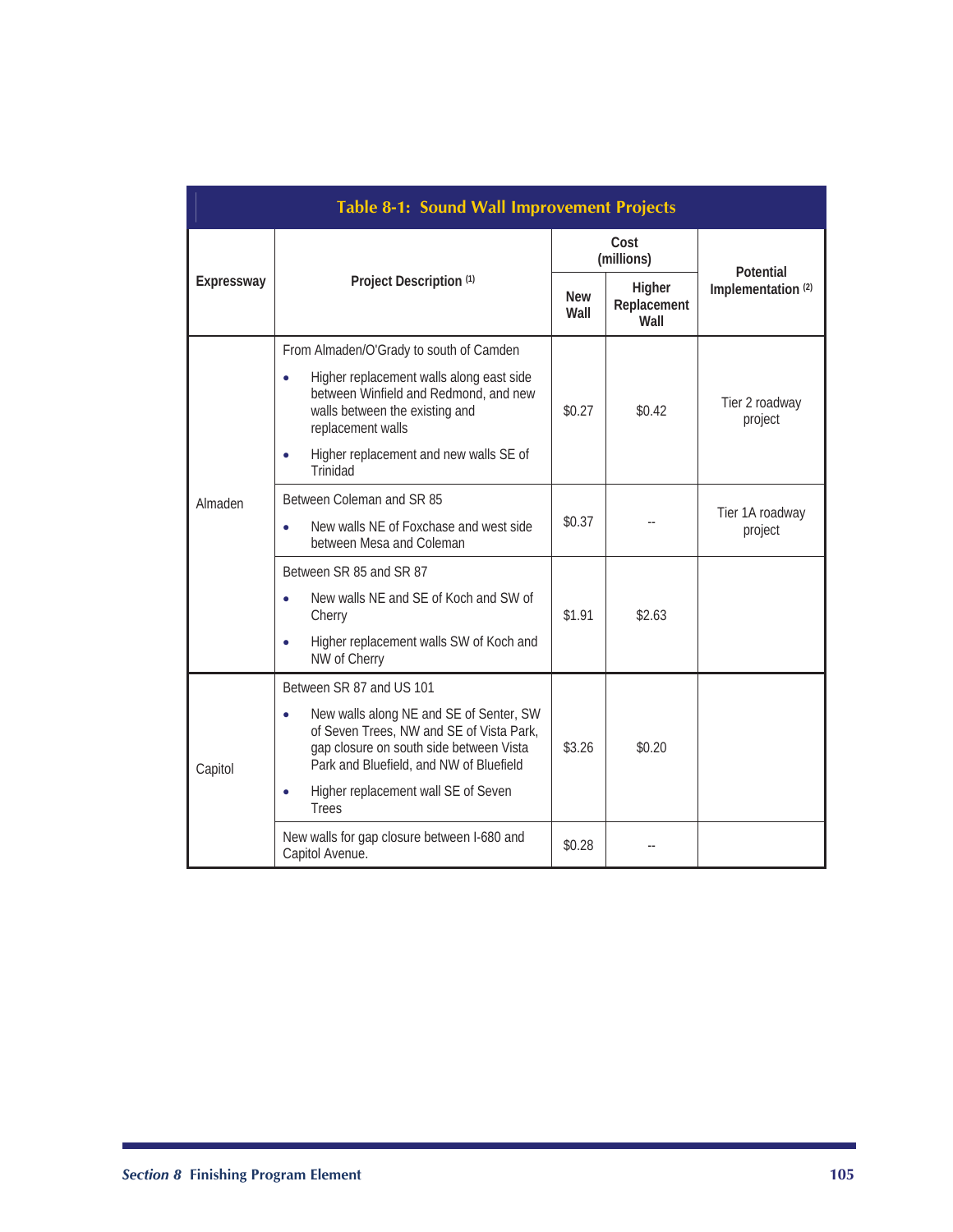| Table 8-1: Sound Wall Improvement Projects |                                                                                                                                                                                        |                    |                               |                               |  |  |
|--------------------------------------------|----------------------------------------------------------------------------------------------------------------------------------------------------------------------------------------|--------------------|-------------------------------|-------------------------------|--|--|
| Expressway                                 | Project Description (1)                                                                                                                                                                | Cost<br>(millions) |                               | Potential                     |  |  |
|                                            |                                                                                                                                                                                        | New<br>Wall        | Higher<br>Replacement<br>Wall | Implementation <sup>(2)</sup> |  |  |
| Almaden                                    | From Almaden/O'Grady to south of Camden                                                                                                                                                |                    |                               |                               |  |  |
|                                            | Higher replacement walls along east side<br>$\bullet$<br>between Winfield and Redmond, and new<br>walls between the existing and<br>replacement walls                                  | \$0.27             | \$0.42                        | Tier 2 roadway<br>project     |  |  |
|                                            | Higher replacement and new walls SE of<br>$\bullet$<br>Trinidad                                                                                                                        |                    |                               |                               |  |  |
|                                            | Between Coleman and SR 85                                                                                                                                                              | \$0.37             |                               | Tier 1A roadway<br>project    |  |  |
|                                            | New walls NE of Foxchase and west side<br>between Mesa and Coleman                                                                                                                     |                    |                               |                               |  |  |
|                                            | Between SR 85 and SR 87                                                                                                                                                                |                    |                               |                               |  |  |
|                                            | New walls NE and SE of Koch and SW of<br>$\bullet$<br>Cherry                                                                                                                           | \$1.91             | \$2.63                        |                               |  |  |
|                                            | Higher replacement walls SW of Koch and<br>NW of Cherry                                                                                                                                |                    |                               |                               |  |  |
| Capitol                                    | Between SR 87 and US 101                                                                                                                                                               |                    |                               |                               |  |  |
|                                            | New walls along NE and SE of Senter, SW<br>$\bullet$<br>of Seven Trees, NW and SE of Vista Park,<br>gap closure on south side between Vista<br>Park and Bluefield, and NW of Bluefield | \$3.26             | \$0.20                        |                               |  |  |
|                                            | Higher replacement wall SE of Seven<br>$\bullet$<br><b>Trees</b>                                                                                                                       |                    |                               |                               |  |  |
|                                            | New walls for gap closure between I-680 and<br>Capitol Avenue.                                                                                                                         | \$0.28             |                               |                               |  |  |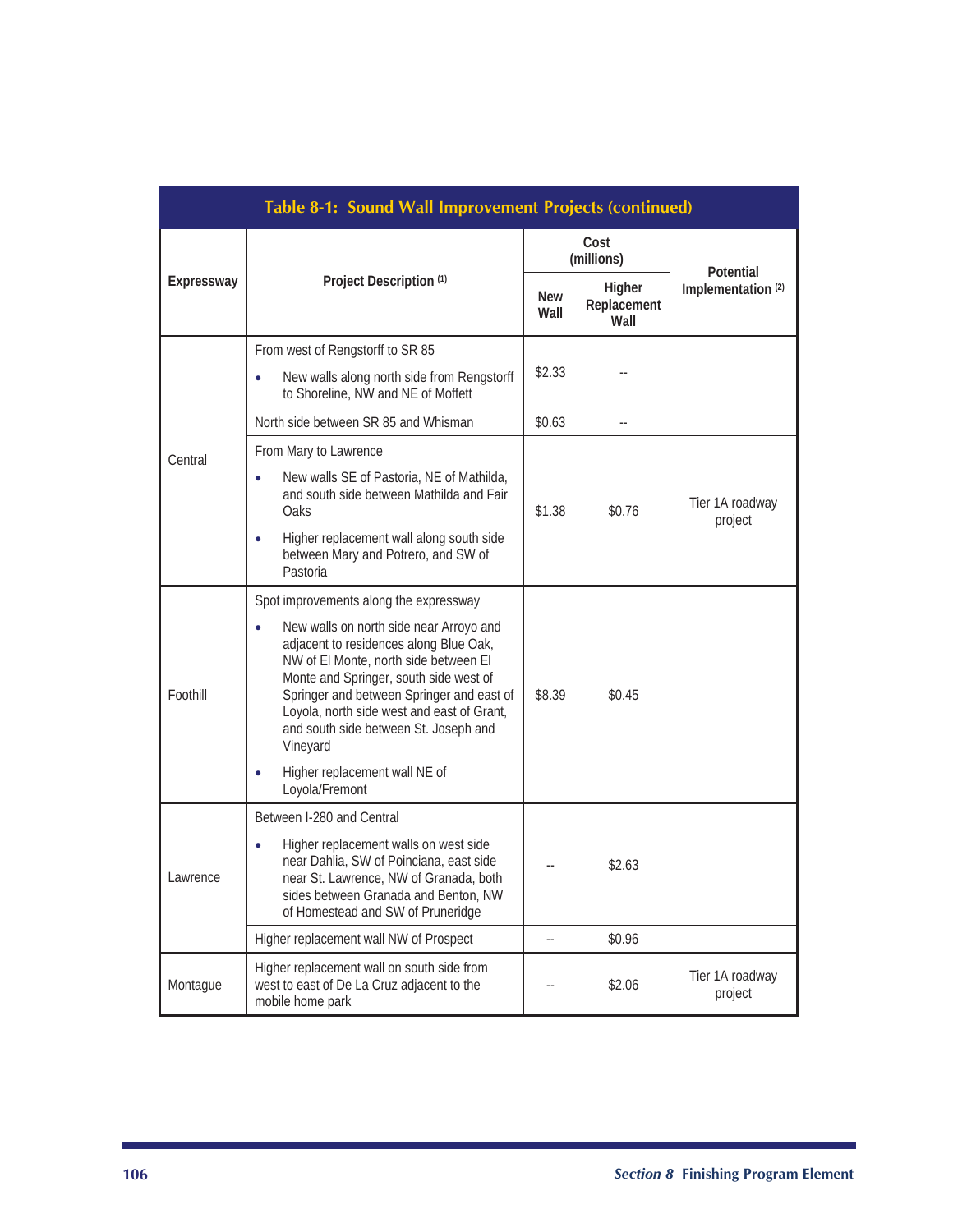| Table 8-1: Sound Wall Improvement Projects (continued) |                                                                                                                                                                                                                                                                                                                                   |                    |                               |                               |  |  |
|--------------------------------------------------------|-----------------------------------------------------------------------------------------------------------------------------------------------------------------------------------------------------------------------------------------------------------------------------------------------------------------------------------|--------------------|-------------------------------|-------------------------------|--|--|
| Expressway                                             | Project Description (1)                                                                                                                                                                                                                                                                                                           | Cost<br>(millions) |                               | Potential                     |  |  |
|                                                        |                                                                                                                                                                                                                                                                                                                                   | <b>New</b><br>Wall | Higher<br>Replacement<br>Wall | Implementation <sup>(2)</sup> |  |  |
| Central                                                | From west of Rengstorff to SR 85                                                                                                                                                                                                                                                                                                  | \$2.33             |                               |                               |  |  |
|                                                        | New walls along north side from Rengstorff<br>$\bullet$<br>to Shoreline, NW and NE of Moffett                                                                                                                                                                                                                                     |                    |                               |                               |  |  |
|                                                        | North side between SR 85 and Whisman                                                                                                                                                                                                                                                                                              | \$0.63             |                               |                               |  |  |
|                                                        | From Mary to Lawrence                                                                                                                                                                                                                                                                                                             |                    |                               |                               |  |  |
|                                                        | New walls SE of Pastoria, NE of Mathilda,<br>$\bullet$<br>and south side between Mathilda and Fair<br>Oaks                                                                                                                                                                                                                        | \$1.38             | \$0.76                        | Tier 1A roadway<br>project    |  |  |
|                                                        | Higher replacement wall along south side<br>$\bullet$<br>between Mary and Potrero, and SW of<br>Pastoria                                                                                                                                                                                                                          |                    |                               |                               |  |  |
| Foothill                                               | Spot improvements along the expressway                                                                                                                                                                                                                                                                                            |                    |                               |                               |  |  |
|                                                        | New walls on north side near Arroyo and<br>$\bullet$<br>adjacent to residences along Blue Oak,<br>NW of El Monte, north side between El<br>Monte and Springer, south side west of<br>Springer and between Springer and east of<br>Loyola, north side west and east of Grant,<br>and south side between St. Joseph and<br>Vineyard | \$8.39             | \$0.45                        |                               |  |  |
|                                                        | Higher replacement wall NE of<br>$\bullet$<br>Loyola/Fremont                                                                                                                                                                                                                                                                      |                    |                               |                               |  |  |
| Lawrence                                               | Between I-280 and Central                                                                                                                                                                                                                                                                                                         |                    |                               |                               |  |  |
|                                                        | Higher replacement walls on west side<br>$\bullet$<br>near Dahlia, SW of Poinciana, east side<br>near St. Lawrence, NW of Granada, both<br>sides between Granada and Benton, NW<br>of Homestead and SW of Pruneridge                                                                                                              |                    | \$2.63                        |                               |  |  |
|                                                        | Higher replacement wall NW of Prospect                                                                                                                                                                                                                                                                                            | ÷.                 | \$0.96                        |                               |  |  |
| Montague                                               | Higher replacement wall on south side from<br>west to east of De La Cruz adjacent to the<br>mobile home park                                                                                                                                                                                                                      |                    | \$2.06                        | Tier 1A roadway<br>project    |  |  |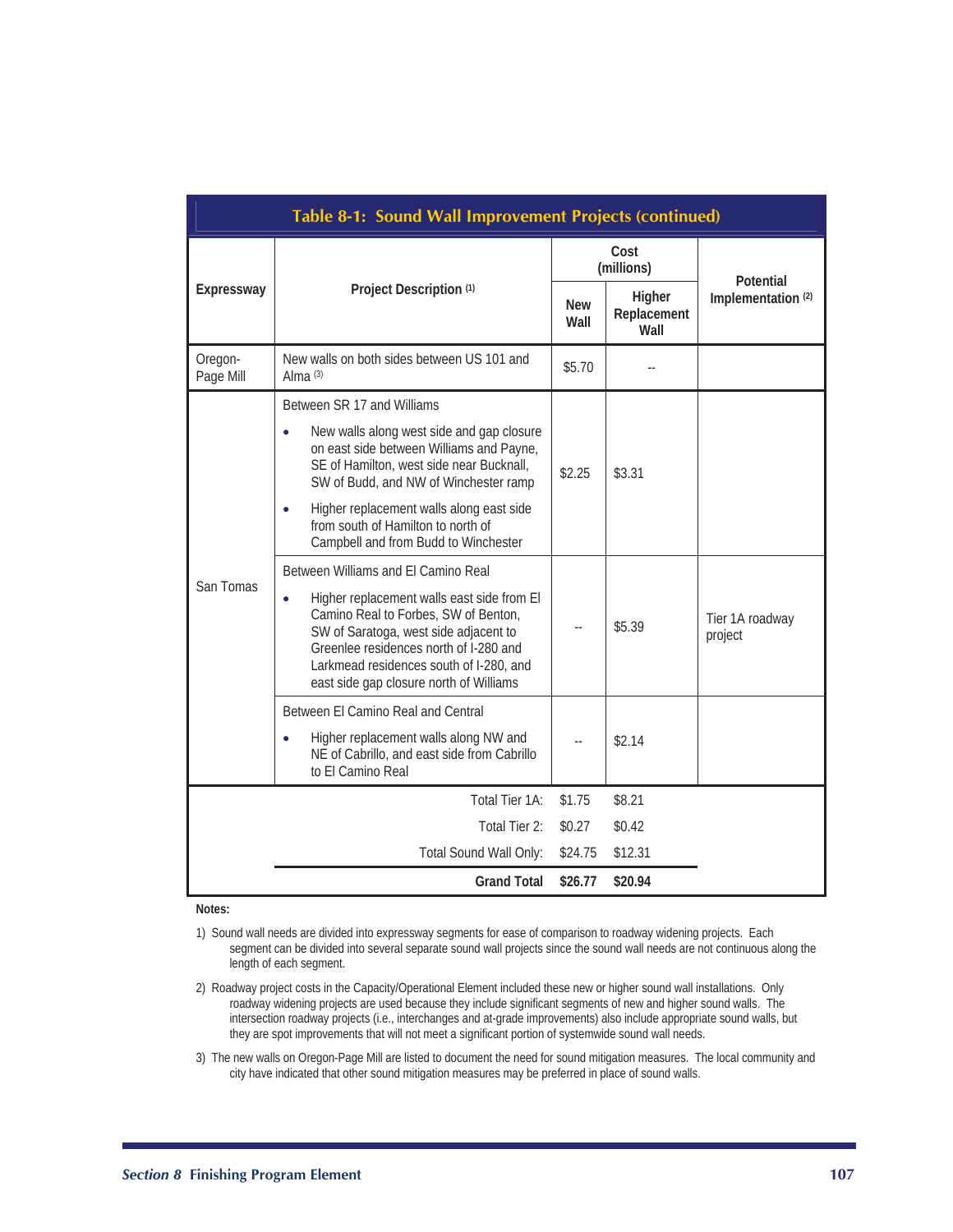| Table 8-1: Sound Wall Improvement Projects (continued) |                                                                                                                                                                                                                                                             |                    |                               |                               |  |  |
|--------------------------------------------------------|-------------------------------------------------------------------------------------------------------------------------------------------------------------------------------------------------------------------------------------------------------------|--------------------|-------------------------------|-------------------------------|--|--|
| Expressway                                             | Project Description (1)                                                                                                                                                                                                                                     | Cost<br>(millions) |                               | Potential                     |  |  |
|                                                        |                                                                                                                                                                                                                                                             | <b>New</b><br>Wall | Higher<br>Replacement<br>Wall | Implementation <sup>(2)</sup> |  |  |
| Oregon-<br>Page Mill                                   | New walls on both sides between US 101 and<br>Alma $(3)$                                                                                                                                                                                                    | \$5.70             |                               |                               |  |  |
|                                                        | Between SR 17 and Williams                                                                                                                                                                                                                                  |                    |                               |                               |  |  |
|                                                        | New walls along west side and gap closure<br>$\bullet$<br>on east side between Williams and Payne,<br>SE of Hamilton, west side near Bucknall,<br>SW of Budd, and NW of Winchester ramp                                                                     | \$2.25             | \$3.31                        |                               |  |  |
|                                                        | Higher replacement walls along east side<br>$\bullet$<br>from south of Hamilton to north of<br>Campbell and from Budd to Winchester                                                                                                                         |                    |                               |                               |  |  |
|                                                        | Between Williams and El Camino Real                                                                                                                                                                                                                         |                    |                               |                               |  |  |
| San Tomas                                              | Higher replacement walls east side from El<br>Camino Real to Forbes, SW of Benton,<br>SW of Saratoga, west side adjacent to<br>Greenlee residences north of I-280 and<br>Larkmead residences south of I-280, and<br>east side gap closure north of Williams |                    | \$5.39                        | Tier 1A roadway<br>project    |  |  |
|                                                        | Between El Camino Real and Central                                                                                                                                                                                                                          |                    |                               |                               |  |  |
|                                                        | Higher replacement walls along NW and<br>$\bullet$<br>NE of Cabrillo, and east side from Cabrillo<br>to El Camino Real                                                                                                                                      |                    | \$2.14                        |                               |  |  |
|                                                        | Total Tier 1A:                                                                                                                                                                                                                                              | \$1.75             | \$8.21                        |                               |  |  |
|                                                        | Total Tier 2:                                                                                                                                                                                                                                               | \$0.27             | \$0.42                        |                               |  |  |
|                                                        | Total Sound Wall Only:                                                                                                                                                                                                                                      | \$24.75            | \$12.31                       |                               |  |  |
|                                                        | <b>Grand Total</b>                                                                                                                                                                                                                                          | \$26.77            | \$20.94                       |                               |  |  |

**Notes:** 

1) Sound wall needs are divided into expressway segments for ease of comparison to roadway widening projects. Each segment can be divided into several separate sound wall projects since the sound wall needs are not continuous along the length of each segment.

- 2) Roadway project costs in the Capacity/Operational Element included these new or higher sound wall installations. Only roadway widening projects are used because they include significant segments of new and higher sound walls. The intersection roadway projects (i.e., interchanges and at-grade improvements) also include appropriate sound walls, but they are spot improvements that will not meet a significant portion of systemwide sound wall needs.
- 3) The new walls on Oregon-Page Mill are listed to document the need for sound mitigation measures. The local community and city have indicated that other sound mitigation measures may be preferred in place of sound walls.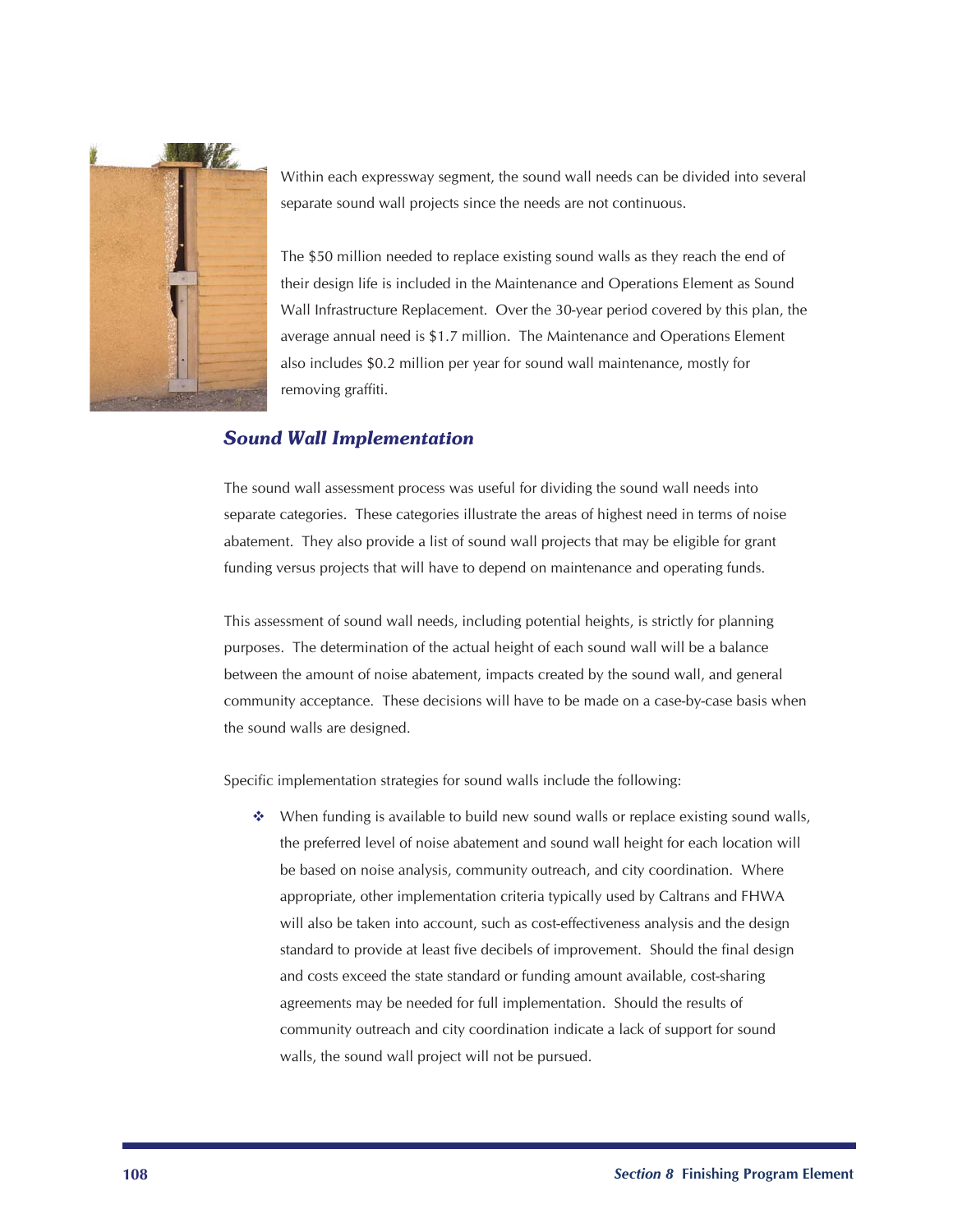

Within each expressway segment, the sound wall needs can be divided into several separate sound wall projects since the needs are not continuous.

The \$50 million needed to replace existing sound walls as they reach the end of their design life is included in the Maintenance and Operations Element as Sound Wall Infrastructure Replacement. Over the 30-year period covered by this plan, the average annual need is \$1.7 million. The Maintenance and Operations Element also includes \$0.2 million per year for sound wall maintenance, mostly for removing graffiti.

#### *Sound Wall Implementation*

The sound wall assessment process was useful for dividing the sound wall needs into separate categories. These categories illustrate the areas of highest need in terms of noise abatement. They also provide a list of sound wall projects that may be eligible for grant funding versus projects that will have to depend on maintenance and operating funds.

This assessment of sound wall needs, including potential heights, is strictly for planning purposes. The determination of the actual height of each sound wall will be a balance between the amount of noise abatement, impacts created by the sound wall, and general community acceptance. These decisions will have to be made on a case-by-case basis when the sound walls are designed.

Specific implementation strategies for sound walls include the following:

 $\bullet$  When funding is available to build new sound walls or replace existing sound walls, the preferred level of noise abatement and sound wall height for each location will be based on noise analysis, community outreach, and city coordination. Where appropriate, other implementation criteria typically used by Caltrans and FHWA will also be taken into account, such as cost-effectiveness analysis and the design standard to provide at least five decibels of improvement. Should the final design and costs exceed the state standard or funding amount available, cost-sharing agreements may be needed for full implementation. Should the results of community outreach and city coordination indicate a lack of support for sound walls, the sound wall project will not be pursued.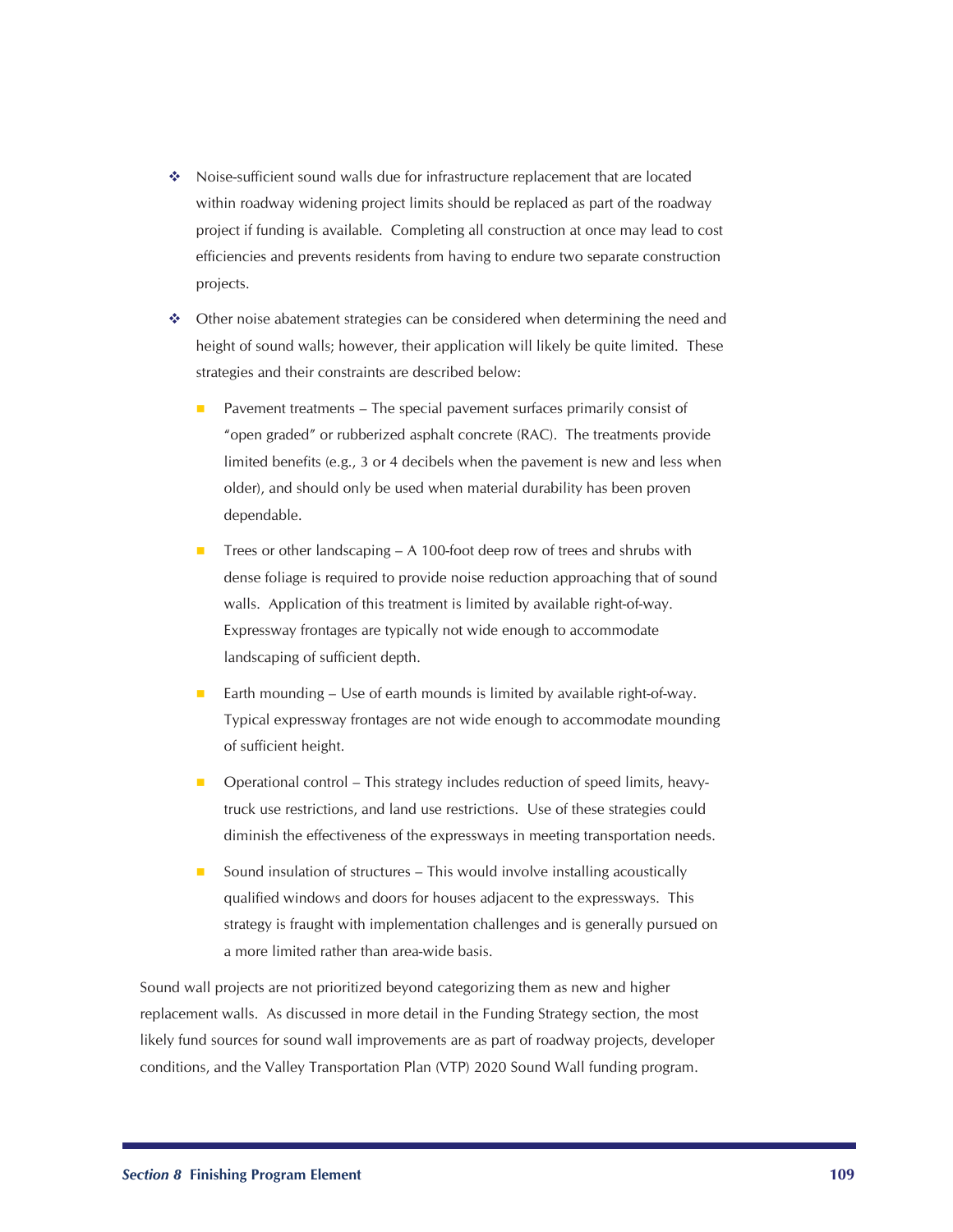- A. Noise-sufficient sound walls due for infrastructure replacement that are located within roadway widening project limits should be replaced as part of the roadway project if funding is available. Completing all construction at once may lead to cost efficiencies and prevents residents from having to endure two separate construction projects.
- Other noise abatement strategies can be considered when determining the need and height of sound walls; however, their application will likely be quite limited. These strategies and their constraints are described below:
	- **C** Pavement treatments – The special pavement surfaces primarily consist of "open graded" or rubberized asphalt concrete (RAC). The treatments provide limited benefits (e.g., 3 or 4 decibels when the pavement is new and less when older), and should only be used when material durability has been proven dependable.
	- **C** Trees or other landscaping – A 100-foot deep row of trees and shrubs with dense foliage is required to provide noise reduction approaching that of sound walls. Application of this treatment is limited by available right-of-way. Expressway frontages are typically not wide enough to accommodate landscaping of sufficient depth.
	- ÷ Earth mounding – Use of earth mounds is limited by available right-of-way. Typical expressway frontages are not wide enough to accommodate mounding of sufficient height.
	- $\blacksquare$ Operational control – This strategy includes reduction of speed limits, heavytruck use restrictions, and land use restrictions. Use of these strategies could diminish the effectiveness of the expressways in meeting transportation needs.
	- **C** Sound insulation of structures – This would involve installing acoustically qualified windows and doors for houses adjacent to the expressways. This strategy is fraught with implementation challenges and is generally pursued on a more limited rather than area-wide basis.

Sound wall projects are not prioritized beyond categorizing them as new and higher replacement walls. As discussed in more detail in the Funding Strategy section, the most likely fund sources for sound wall improvements are as part of roadway projects, developer conditions, and the Valley Transportation Plan (VTP) 2020 Sound Wall funding program.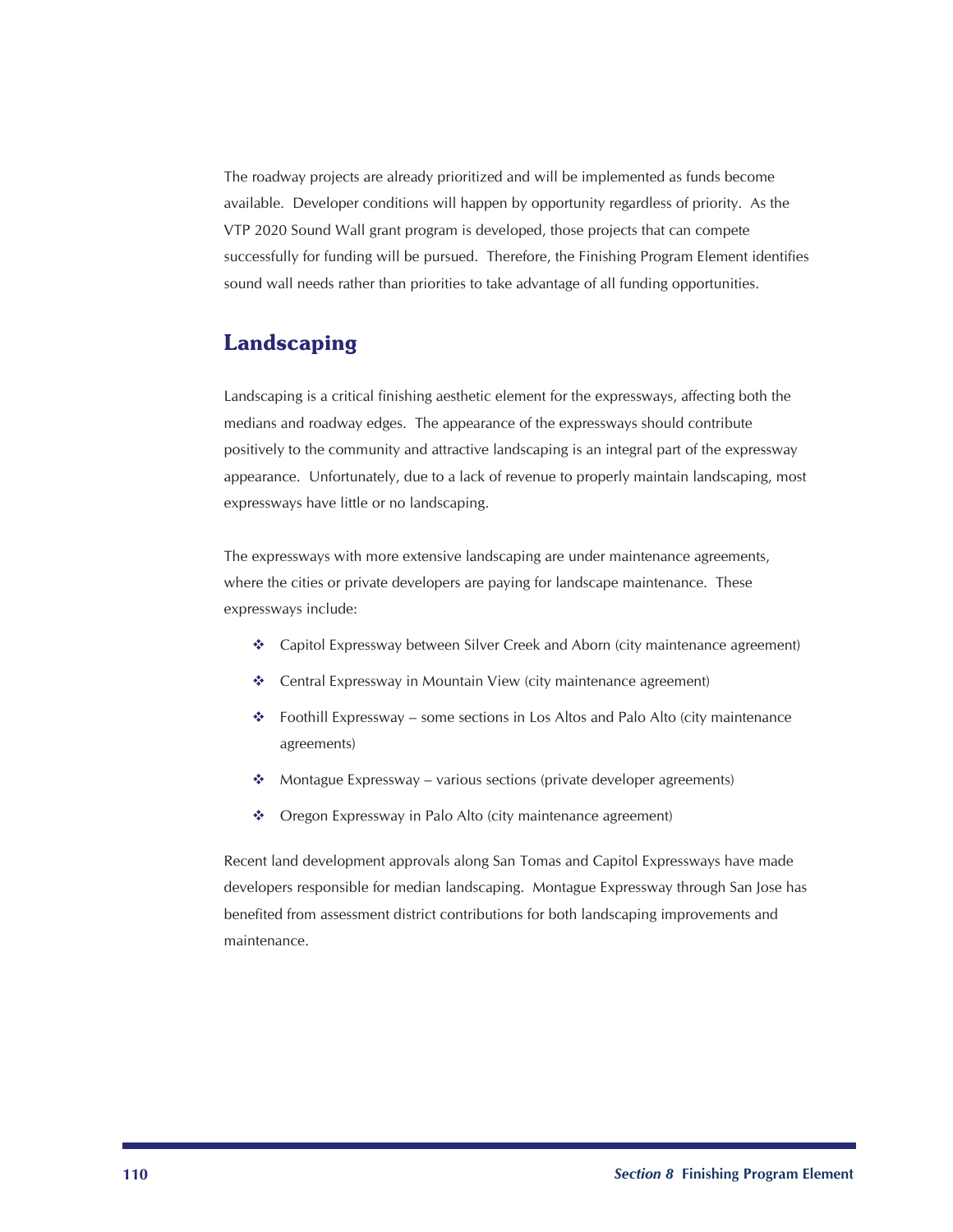The roadway projects are already prioritized and will be implemented as funds become available. Developer conditions will happen by opportunity regardless of priority. As the VTP 2020 Sound Wall grant program is developed, those projects that can compete successfully for funding will be pursued. Therefore, the Finishing Program Element identifies sound wall needs rather than priorities to take advantage of all funding opportunities.

## Landscaping

Landscaping is a critical finishing aesthetic element for the expressways, affecting both the medians and roadway edges. The appearance of the expressways should contribute positively to the community and attractive landscaping is an integral part of the expressway appearance. Unfortunately, due to a lack of revenue to properly maintain landscaping, most expressways have little or no landscaping.

The expressways with more extensive landscaping are under maintenance agreements, where the cities or private developers are paying for landscape maintenance. These expressways include:

- Capitol Expressway between Silver Creek and Aborn (city maintenance agreement)
- 壘 Central Expressway in Mountain View (city maintenance agreement)
- $\sigma_{\rm eff}^{\rm 2.5}$ Foothill Expressway – some sections in Los Altos and Palo Alto (city maintenance agreements)
- 壘 Montague Expressway – various sections (private developer agreements)
- $\sigma_{\rm eff}^{\rm th}$ Oregon Expressway in Palo Alto (city maintenance agreement)

Recent land development approvals along San Tomas and Capitol Expressways have made developers responsible for median landscaping. Montague Expressway through San Jose has benefited from assessment district contributions for both landscaping improvements and maintenance.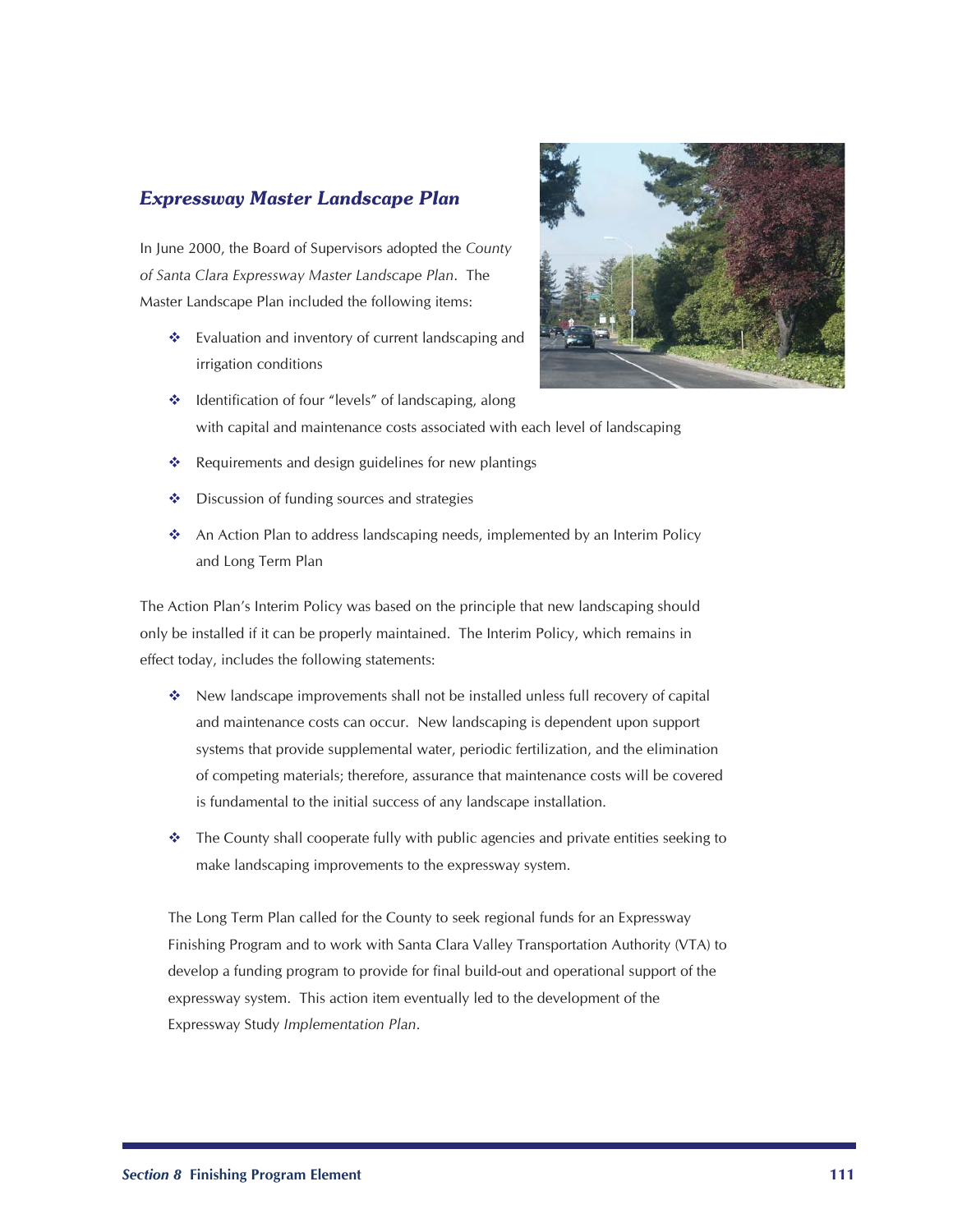#### *Expressway Master Landscape Plan*

In June 2000, the Board of Supervisors adopted the *County of Santa Clara Expressway Master Landscape Plan*. The Master Landscape Plan included the following items:

Evaluation and inventory of current landscaping and irrigation conditions



- ❖ Identification of four "levels" of landscaping, along with capital and maintenance costs associated with each level of landscaping
- 壘 Requirements and design guidelines for new plantings
- 壘 Discussion of funding sources and strategies
- 豪 An Action Plan to address landscaping needs, implemented by an Interim Policy and Long Term Plan

The Action Plan's Interim Policy was based on the principle that new landscaping should only be installed if it can be properly maintained. The Interim Policy, which remains in effect today, includes the following statements:

- New landscape improvements shall not be installed unless full recovery of capital and maintenance costs can occur. New landscaping is dependent upon support systems that provide supplemental water, periodic fertilization, and the elimination of competing materials; therefore, assurance that maintenance costs will be covered is fundamental to the initial success of any landscape installation.
- $\bullet$  The County shall cooperate fully with public agencies and private entities seeking to make landscaping improvements to the expressway system.

The Long Term Plan called for the County to seek regional funds for an Expressway Finishing Program and to work with Santa Clara Valley Transportation Authority (VTA) to develop a funding program to provide for final build-out and operational support of the expressway system. This action item eventually led to the development of the Expressway Study *Implementation Plan*.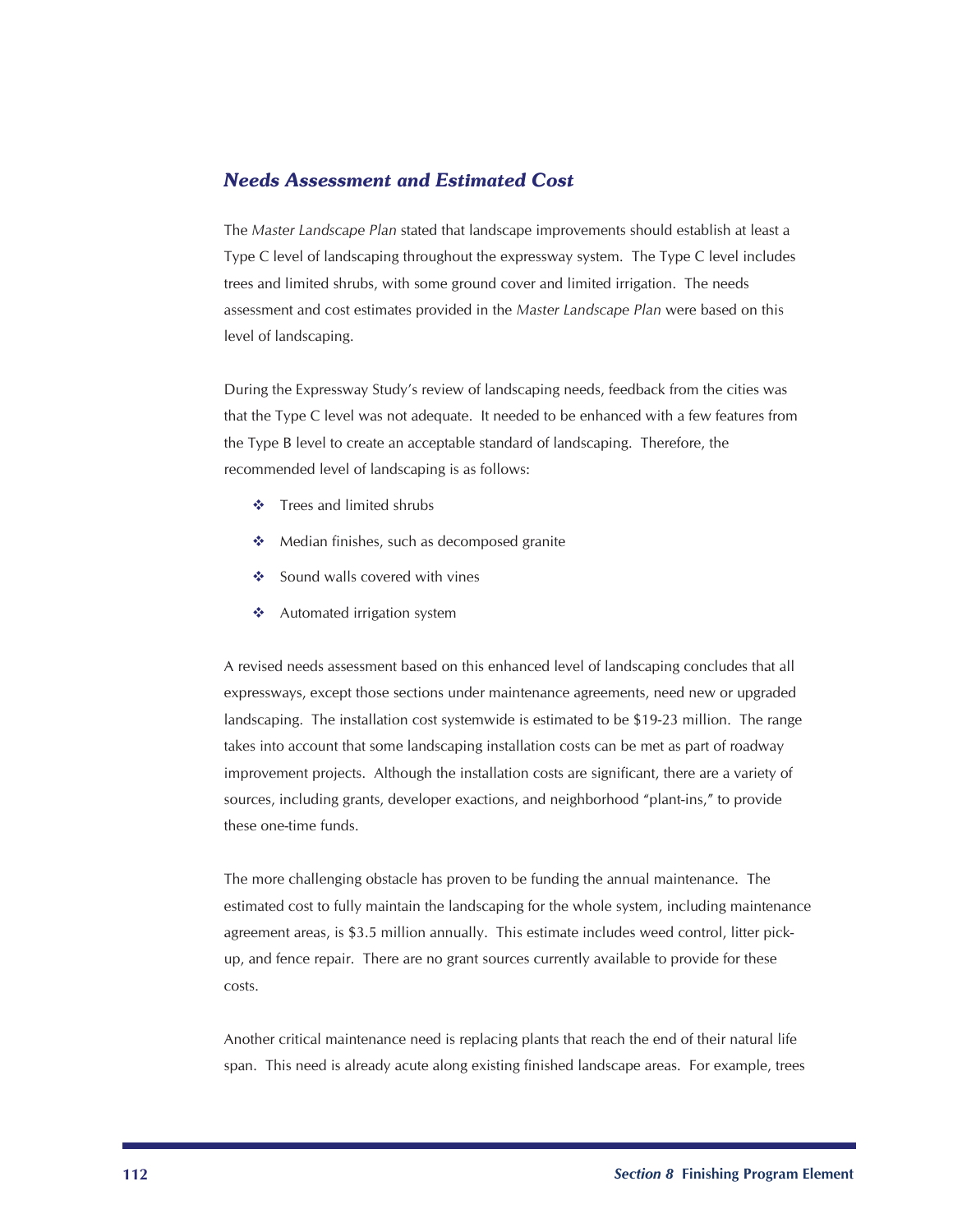#### *Needs Assessment and Estimated Cost*

The *Master Landscape Plan* stated that landscape improvements should establish at least a Type C level of landscaping throughout the expressway system. The Type C level includes trees and limited shrubs, with some ground cover and limited irrigation. The needs assessment and cost estimates provided in the *Master Landscape Plan* were based on this level of landscaping.

During the Expressway Study's review of landscaping needs, feedback from the cities was that the Type C level was not adequate. It needed to be enhanced with a few features from the Type B level to create an acceptable standard of landscaping. Therefore, the recommended level of landscaping is as follows:

- Trees and limited shrubs
- 壘 Median finishes, such as decomposed granite
- ÷ Sound walls covered with vines
- ÷ Automated irrigation system

A revised needs assessment based on this enhanced level of landscaping concludes that all expressways, except those sections under maintenance agreements, need new or upgraded landscaping. The installation cost systemwide is estimated to be \$19-23 million. The range takes into account that some landscaping installation costs can be met as part of roadway improvement projects. Although the installation costs are significant, there are a variety of sources, including grants, developer exactions, and neighborhood "plant-ins," to provide these one-time funds.

The more challenging obstacle has proven to be funding the annual maintenance. The estimated cost to fully maintain the landscaping for the whole system, including maintenance agreement areas, is \$3.5 million annually. This estimate includes weed control, litter pickup, and fence repair. There are no grant sources currently available to provide for these costs.

Another critical maintenance need is replacing plants that reach the end of their natural life span. This need is already acute along existing finished landscape areas. For example, trees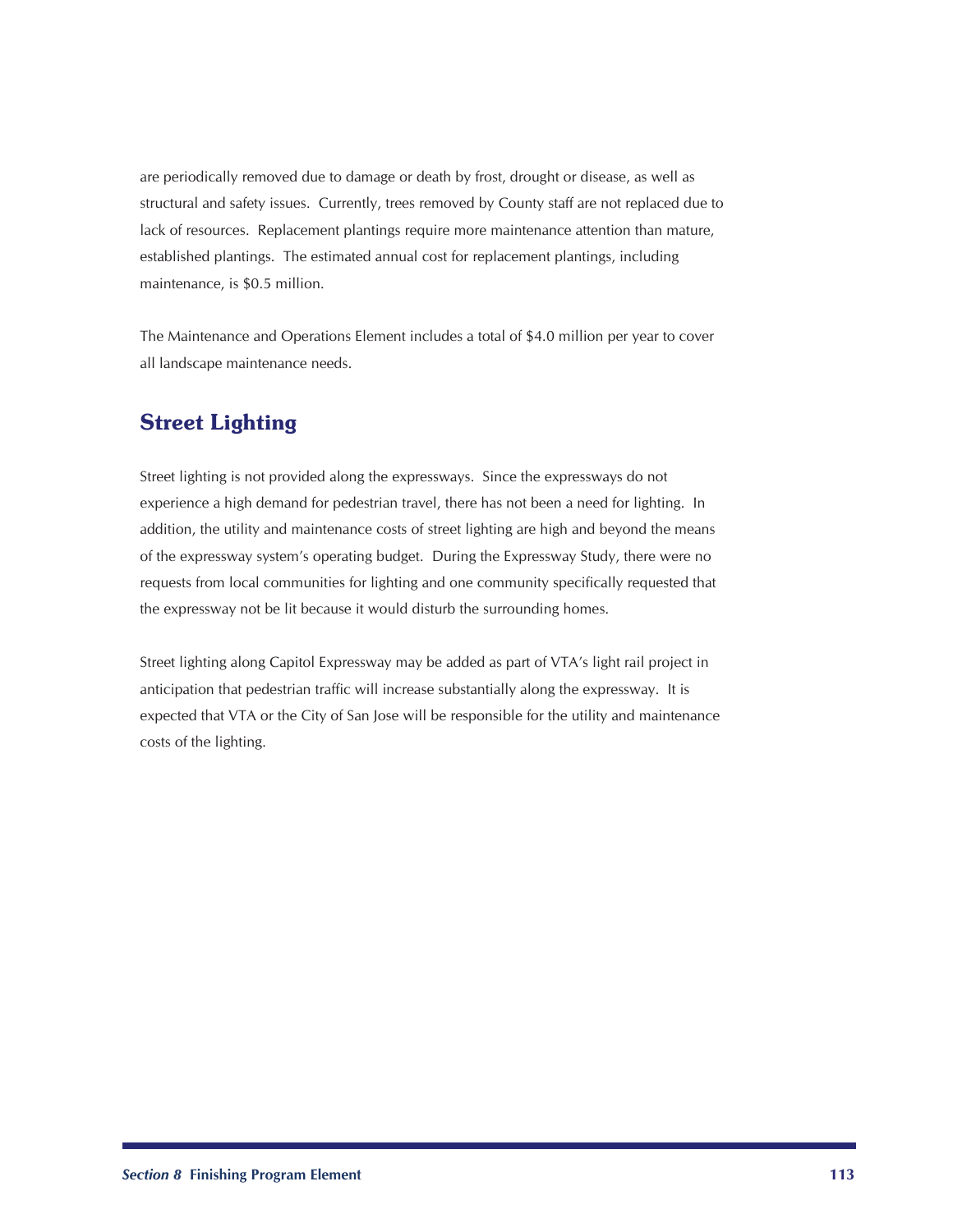are periodically removed due to damage or death by frost, drought or disease, as well as structural and safety issues. Currently, trees removed by County staff are not replaced due to lack of resources. Replacement plantings require more maintenance attention than mature, established plantings. The estimated annual cost for replacement plantings, including maintenance, is \$0.5 million.

The Maintenance and Operations Element includes a total of \$4.0 million per year to cover all landscape maintenance needs.

## Street Lighting

Street lighting is not provided along the expressways. Since the expressways do not experience a high demand for pedestrian travel, there has not been a need for lighting. In addition, the utility and maintenance costs of street lighting are high and beyond the means of the expressway system's operating budget. During the Expressway Study, there were no requests from local communities for lighting and one community specifically requested that the expressway not be lit because it would disturb the surrounding homes.

Street lighting along Capitol Expressway may be added as part of VTA's light rail project in anticipation that pedestrian traffic will increase substantially along the expressway. It is expected that VTA or the City of San Jose will be responsible for the utility and maintenance costs of the lighting.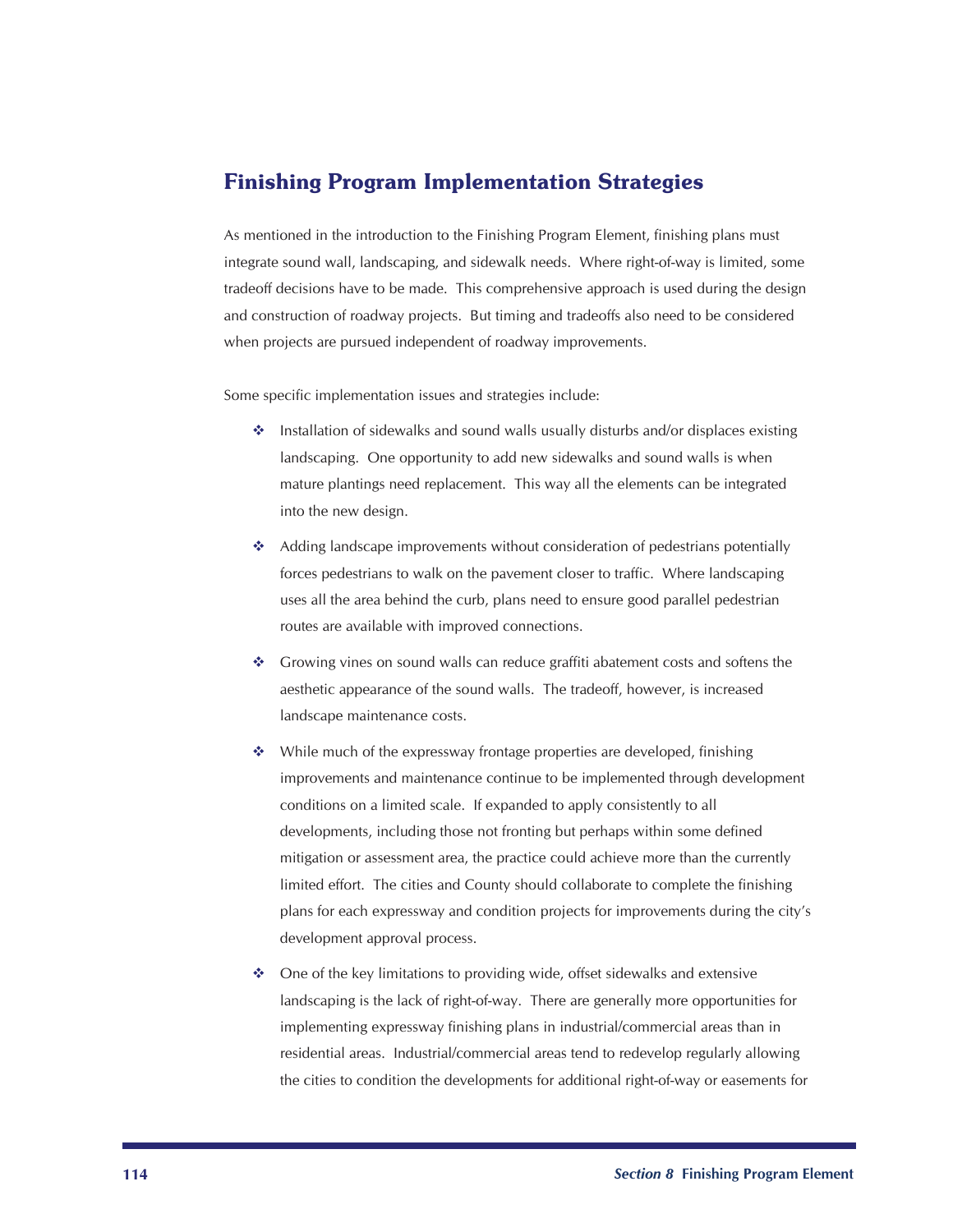### Finishing Program Implementation Strategies

As mentioned in the introduction to the Finishing Program Element, finishing plans must integrate sound wall, landscaping, and sidewalk needs. Where right-of-way is limited, some tradeoff decisions have to be made. This comprehensive approach is used during the design and construction of roadway projects. But timing and tradeoffs also need to be considered when projects are pursued independent of roadway improvements.

Some specific implementation issues and strategies include:

- $\triangle$  Installation of sidewalks and sound walls usually disturbs and/or displaces existing landscaping. One opportunity to add new sidewalks and sound walls is when mature plantings need replacement. This way all the elements can be integrated into the new design.
- Adding landscape improvements without consideration of pedestrians potentially forces pedestrians to walk on the pavement closer to traffic. Where landscaping uses all the area behind the curb, plans need to ensure good parallel pedestrian routes are available with improved connections.
- ❖ Growing vines on sound walls can reduce graffiti abatement costs and softens the aesthetic appearance of the sound walls. The tradeoff, however, is increased landscape maintenance costs.
- 壘 While much of the expressway frontage properties are developed, finishing improvements and maintenance continue to be implemented through development conditions on a limited scale. If expanded to apply consistently to all developments, including those not fronting but perhaps within some defined mitigation or assessment area, the practice could achieve more than the currently limited effort. The cities and County should collaborate to complete the finishing plans for each expressway and condition projects for improvements during the city's development approval process.
- One of the key limitations to providing wide, offset sidewalks and extensive landscaping is the lack of right-of-way. There are generally more opportunities for implementing expressway finishing plans in industrial/commercial areas than in residential areas. Industrial/commercial areas tend to redevelop regularly allowing the cities to condition the developments for additional right-of-way or easements for